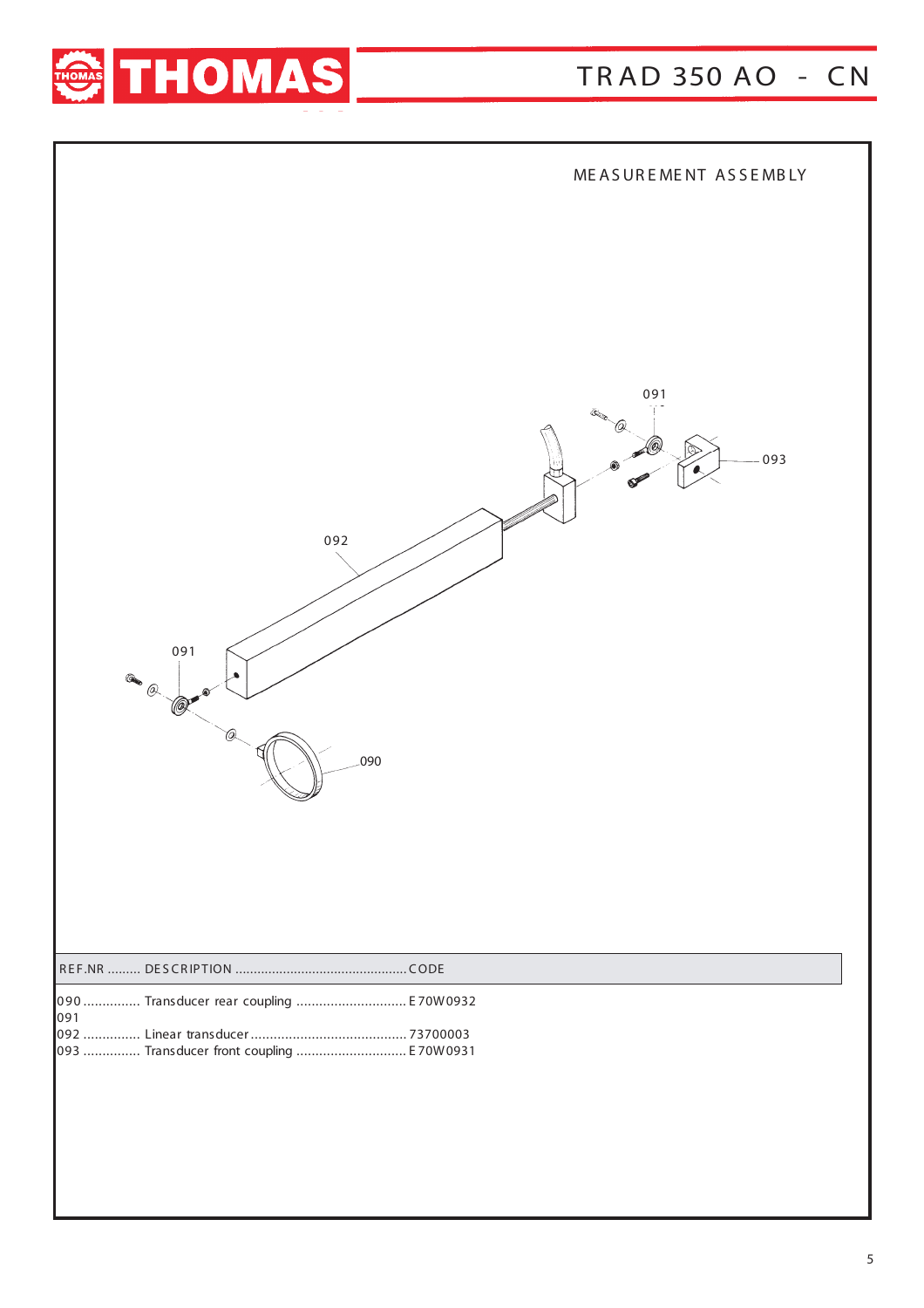

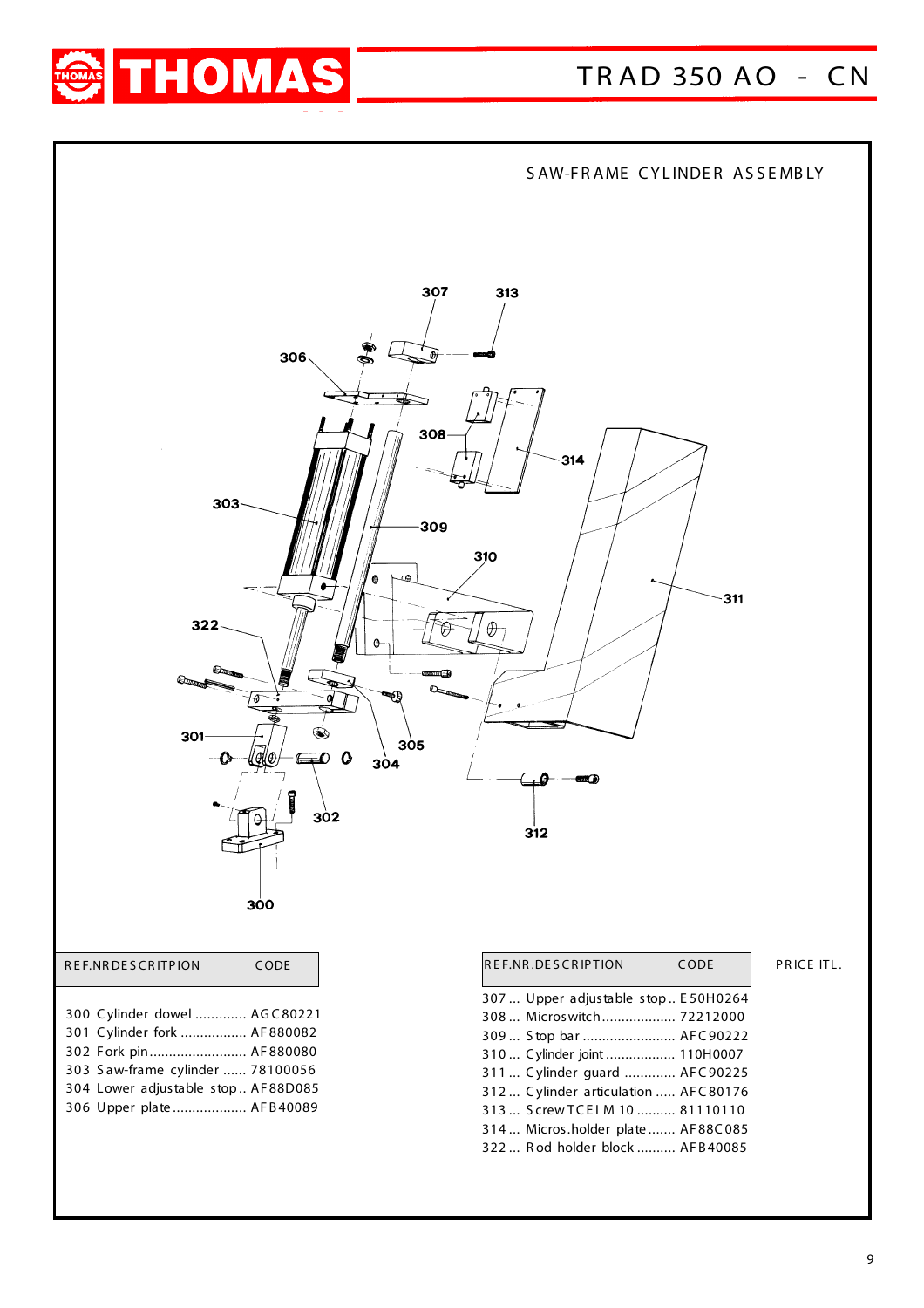

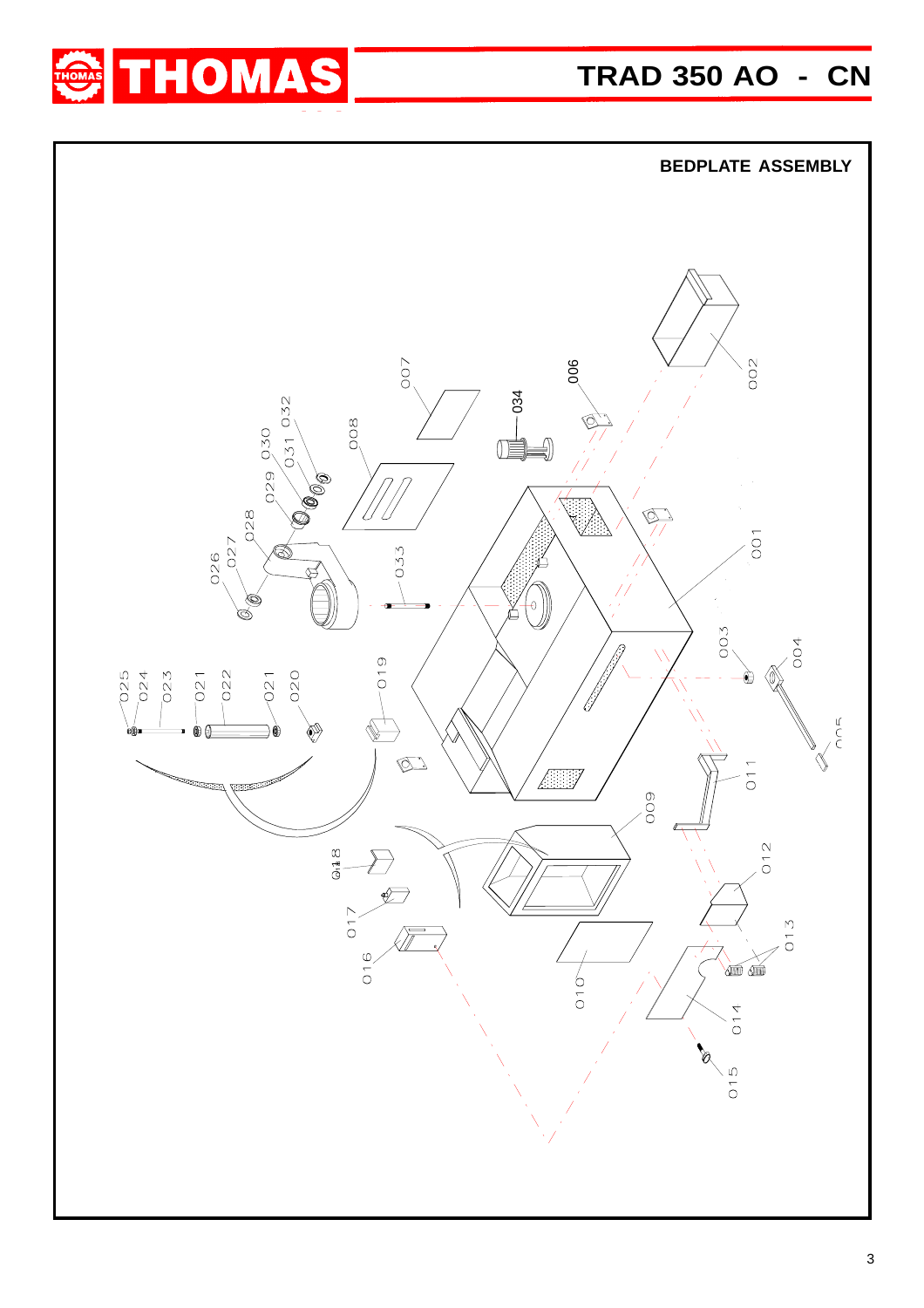

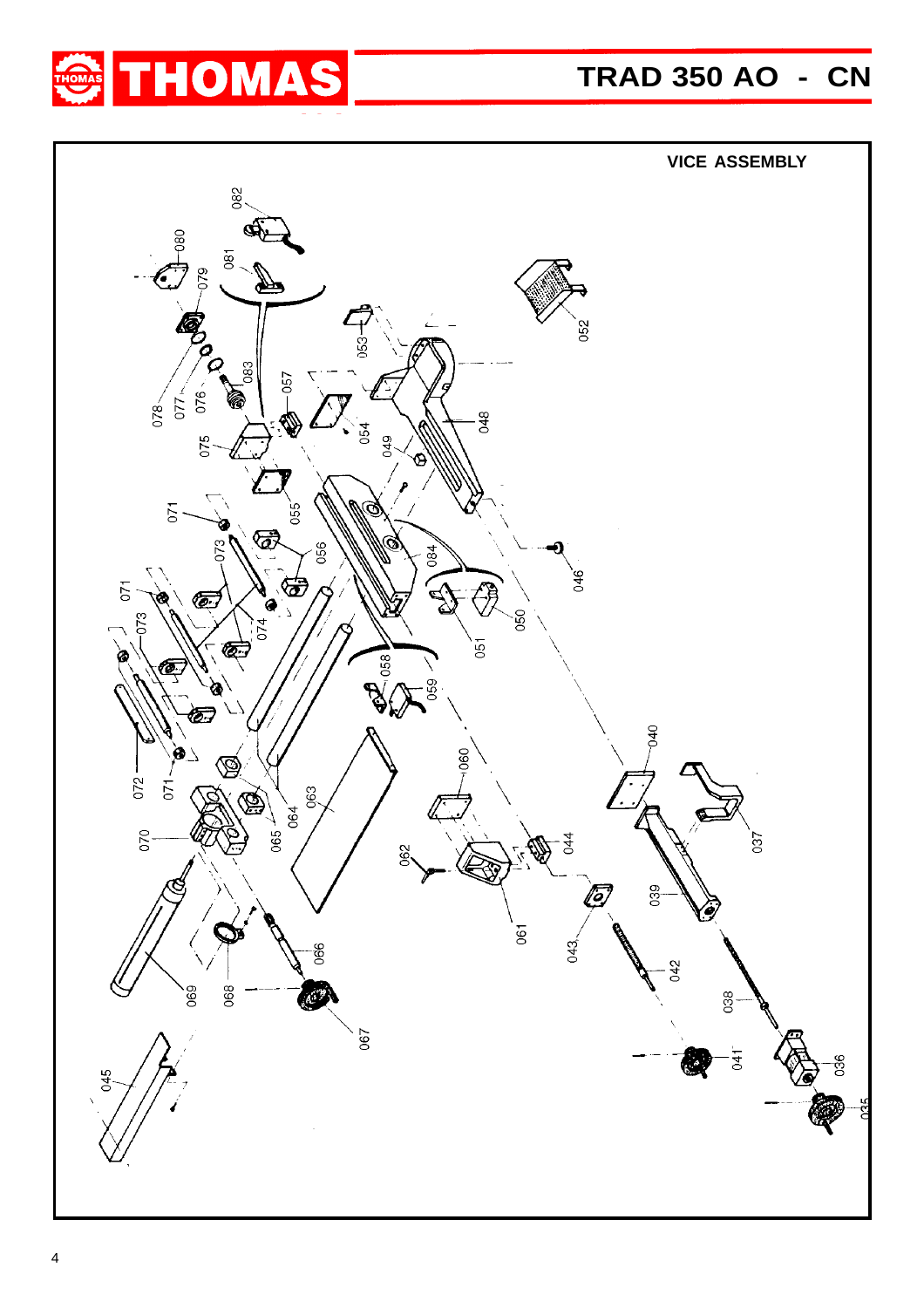

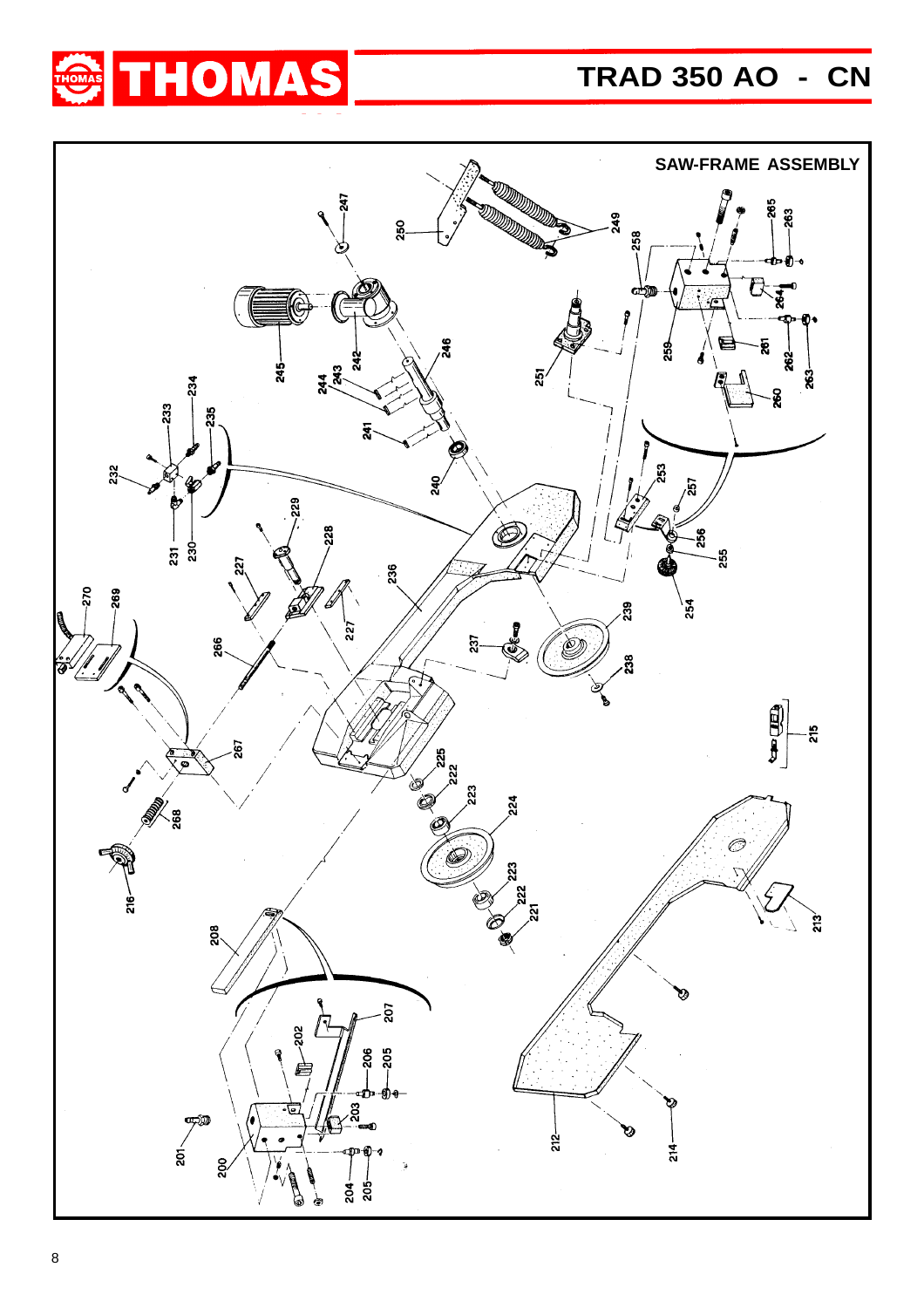## **TRAD 350 AO - CN**